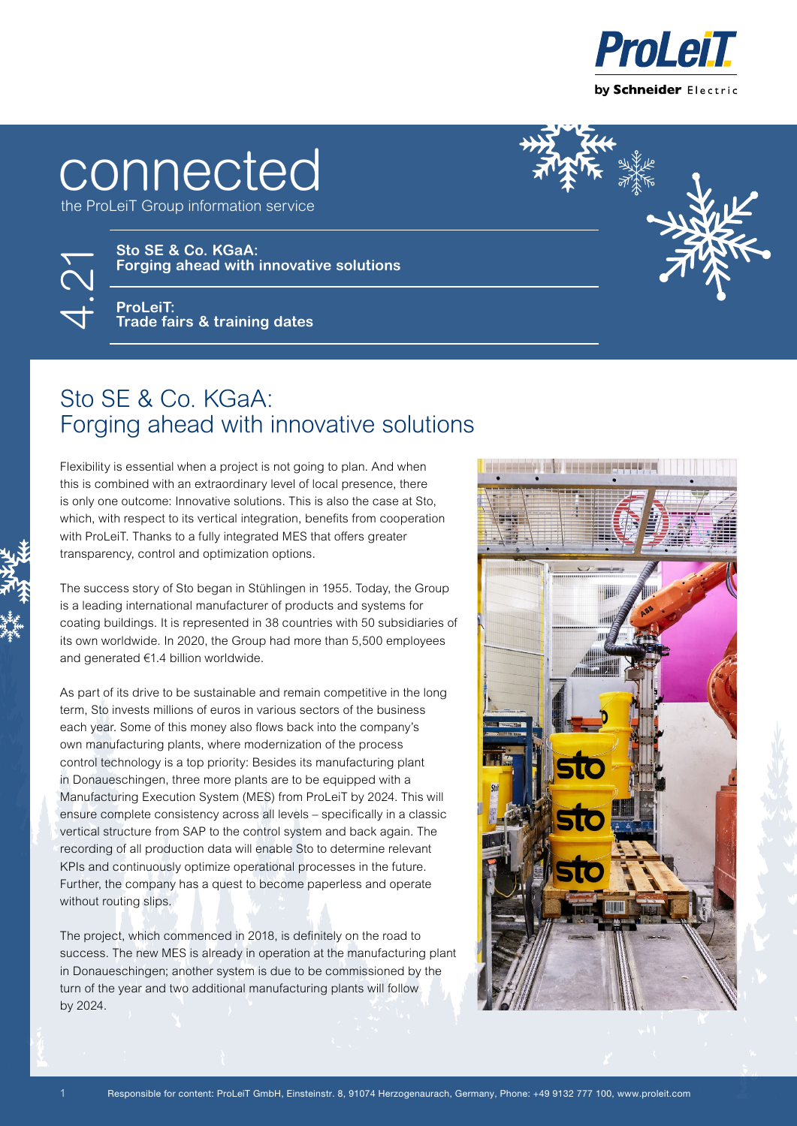

## **connected**

the ProLeiT Group information service

**Sto SE & Co. KGaA:**

4.21

**ProLeiT: Trade fairs & training dates**

## Sto SE & Co. KGaA: Forging ahead with innovative solutions

**Forging ahead with innovative solutions**

Flexibility is essential when a project is not going to plan. And when this is combined with an extraordinary level of local presence, there is only one outcome: Innovative solutions. This is also the case at Sto, which, with respect to its vertical integration, benefits from cooperation with ProLeiT. Thanks to a fully integrated MES that offers greater transparency, control and optimization options.

The success story of Sto began in Stühlingen in 1955. Today, the Group is a leading international manufacturer of products and systems for coating buildings. It is represented in 38 countries with 50 subsidiaries of its own worldwide. In 2020, the Group had more than 5,500 employees and generated €1.4 billion worldwide.

As part of its drive to be sustainable and remain competitive in the long term, Sto invests millions of euros in various sectors of the business each year. Some of this money also flows back into the company's own manufacturing plants, where modernization of the process control technology is a top priority: Besides its manufacturing plant in Donaueschingen, three more plants are to be equipped with a Manufacturing Execution System (MES) from ProLeiT by 2024. This will ensure complete consistency across all levels – specifically in a classic vertical structure from SAP to the control system and back again. The recording of all production data will enable Sto to determine relevant KPIs and continuously optimize operational processes in the future. Further, the company has a quest to become paperless and operate without routing slips.

The project, which commenced in 2018, is definitely on the road to success. The new MES is already in operation at the manufacturing plant in Donaueschingen; another system is due to be commissioned by the turn of the year and two additional manufacturing plants will follow by 2024.

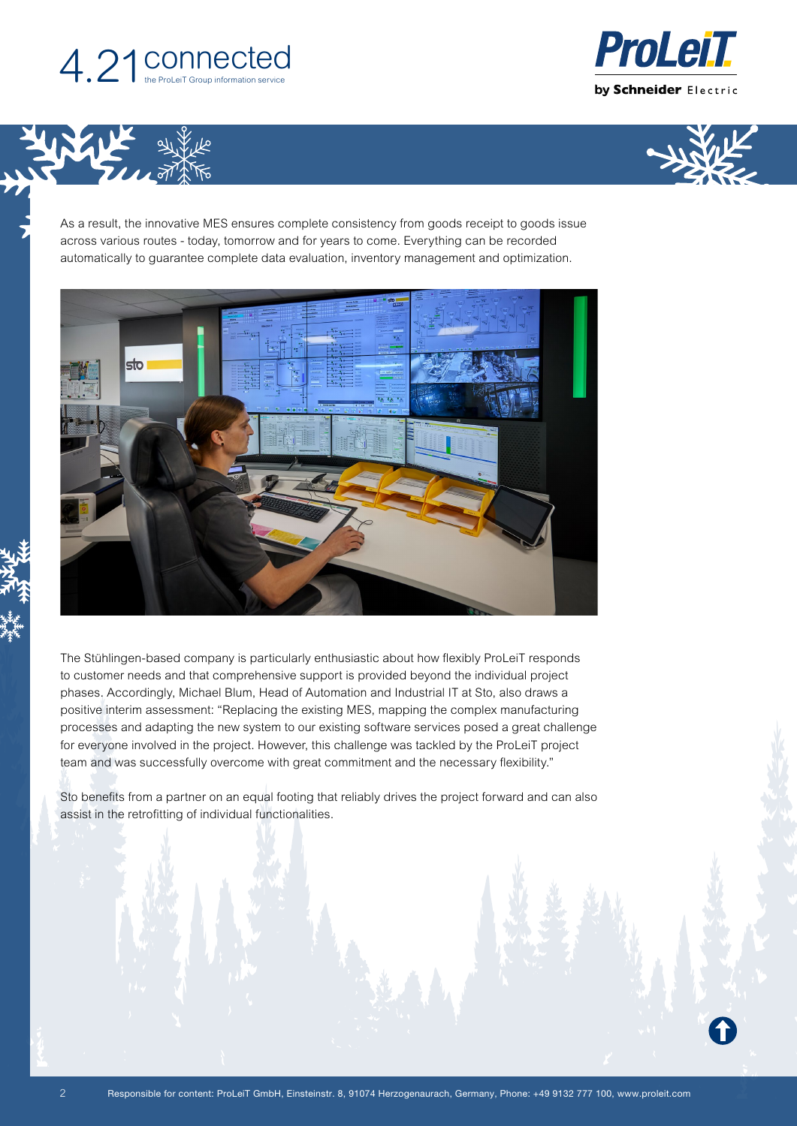

**VINGLIF** 





As a result, the innovative MES ensures complete consistency from goods receipt to goods issue across various routes - today, tomorrow and for years to come. Everything can be recorded automatically to guarantee complete data evaluation, inventory management and optimization.



The Stühlingen-based company is particularly enthusiastic about how flexibly ProLeiT responds to customer needs and that comprehensive support is provided beyond the individual project phases. Accordingly, Michael Blum, Head of Automation and Industrial IT at Sto, also draws a positive interim assessment: "Replacing the existing MES, mapping the complex manufacturing processes and adapting the new system to our existing software services posed a great challenge for everyone involved in the project. However, this challenge was tackled by the ProLeiT project team and was successfully overcome with great commitment and the necessary flexibility."

Sto benefits from a partner on an equal footing that reliably drives the project forward and can also assist in the retrofitting of individual functionalities.